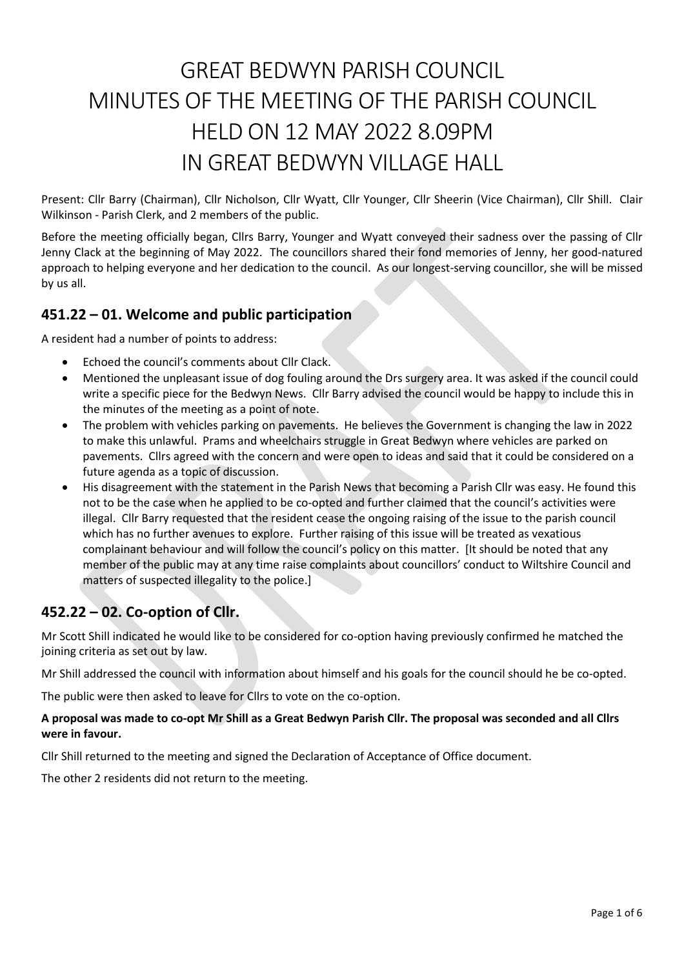# GREAT BEDWYN PARISH COUNCIL MINUTES OF THE MEETING OF THE PARISH COUNCIL HELD ON 12 MAY 2022 8.09PM IN GREAT BEDWYN VILLAGE HALL

Present: Cllr Barry (Chairman), Cllr Nicholson, Cllr Wyatt, Cllr Younger, Cllr Sheerin (Vice Chairman), Cllr Shill. Clair Wilkinson - Parish Clerk, and 2 members of the public.

Before the meeting officially began, Cllrs Barry, Younger and Wyatt conveyed their sadness over the passing of Cllr Jenny Clack at the beginning of May 2022. The councillors shared their fond memories of Jenny, her good-natured approach to helping everyone and her dedication to the council. As our longest-serving councillor, she will be missed by us all.

# **451.22 – 01. Welcome and public participation**

A resident had a number of points to address:

- Echoed the council's comments about Cllr Clack.
- Mentioned the unpleasant issue of dog fouling around the Drs surgery area. It was asked if the council could write a specific piece for the Bedwyn News. Cllr Barry advised the council would be happy to include this in the minutes of the meeting as a point of note.
- The problem with vehicles parking on pavements. He believes the Government is changing the law in 2022 to make this unlawful. Prams and wheelchairs struggle in Great Bedwyn where vehicles are parked on pavements. Cllrs agreed with the concern and were open to ideas and said that it could be considered on a future agenda as a topic of discussion.
- His disagreement with the statement in the Parish News that becoming a Parish Cllr was easy. He found this not to be the case when he applied to be co-opted and further claimed that the council's activities were illegal. Cllr Barry requested that the resident cease the ongoing raising of the issue to the parish council which has no further avenues to explore. Further raising of this issue will be treated as vexatious complainant behaviour and will follow the council's policy on this matter. [It should be noted that any member of the public may at any time raise complaints about councillors' conduct to Wiltshire Council and matters of suspected illegality to the police.]

# **452.22 – 02. Co-option of Cllr.**

Mr Scott Shill indicated he would like to be considered for co-option having previously confirmed he matched the joining criteria as set out by law.

Mr Shill addressed the council with information about himself and his goals for the council should he be co-opted.

The public were then asked to leave for Cllrs to vote on the co-option.

#### **A proposal was made to co-opt Mr Shill as a Great Bedwyn Parish Cllr. The proposal was seconded and all Cllrs were in favour.**

Cllr Shill returned to the meeting and signed the Declaration of Acceptance of Office document.

The other 2 residents did not return to the meeting.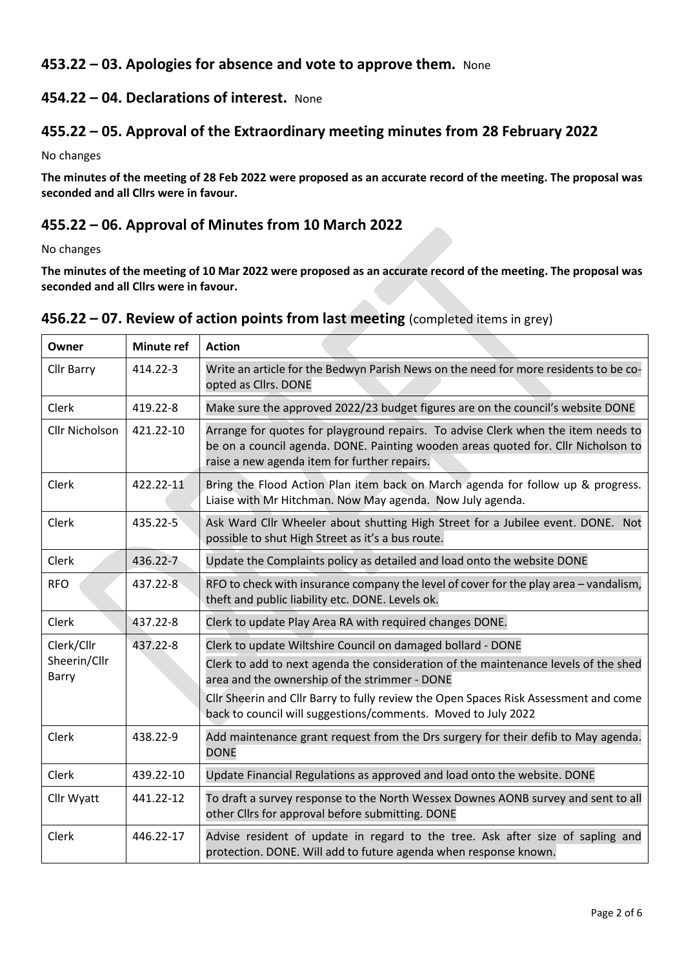# **453.22 – 03. Apologies for absence and vote to approve them.** None

# **454.22 – 04. Declarations of interest.** None

## **455.22 – 05. Approval of the Extraordinary meeting minutes from 28 February 2022**

No changes

**The minutes of the meeting of 28 Feb 2022 were proposed as an accurate record of the meeting. The proposal was seconded and all Cllrs were in favour.**

# **455.22 – 06. Approval of Minutes from 10 March 2022**

No changes

**The minutes of the meeting of 10 Mar 2022 were proposed as an accurate record of the meeting. The proposal was seconded and all Cllrs were in favour.**

| Owner                 | <b>Minute ref</b> | <b>Action</b>                                                                                                                                                                                                          |  |
|-----------------------|-------------------|------------------------------------------------------------------------------------------------------------------------------------------------------------------------------------------------------------------------|--|
| Cllr Barry            | 414.22-3          | Write an article for the Bedwyn Parish News on the need for more residents to be co-<br>opted as Cllrs. DONE                                                                                                           |  |
| <b>Clerk</b>          | 419.22-8          | Make sure the approved 2022/23 budget figures are on the council's website DONE                                                                                                                                        |  |
| <b>Cllr Nicholson</b> | 421.22-10         | Arrange for quotes for playground repairs. To advise Clerk when the item needs to<br>be on a council agenda. DONE. Painting wooden areas quoted for. Cllr Nicholson to<br>raise a new agenda item for further repairs. |  |
| Clerk                 | 422.22-11         | Bring the Flood Action Plan item back on March agenda for follow up & progress.<br>Liaise with Mr Hitchman. Now May agenda. Now July agenda.                                                                           |  |
| Clerk                 | 435.22-5          | Ask Ward Cllr Wheeler about shutting High Street for a Jubilee event. DONE. Not<br>possible to shut High Street as it's a bus route.                                                                                   |  |
| Clerk                 | 436.22-7          | Update the Complaints policy as detailed and load onto the website DONE                                                                                                                                                |  |
| <b>RFO</b>            | 437.22-8          | RFO to check with insurance company the level of cover for the play area - vandalism,<br>theft and public liability etc. DONE. Levels ok.                                                                              |  |
| Clerk                 | 437.22-8          | Clerk to update Play Area RA with required changes DONE.                                                                                                                                                               |  |
| Clerk/Cllr            | 437.22-8          | Clerk to update Wiltshire Council on damaged bollard - DONE                                                                                                                                                            |  |
| Sheerin/Cllr<br>Barry |                   | Clerk to add to next agenda the consideration of the maintenance levels of the shed<br>area and the ownership of the strimmer - DONE                                                                                   |  |
|                       |                   | Cllr Sheerin and Cllr Barry to fully review the Open Spaces Risk Assessment and come<br>back to council will suggestions/comments. Moved to July 2022                                                                  |  |
| Clerk                 | 438.22-9          | Add maintenance grant request from the Drs surgery for their defib to May agenda.<br><b>DONE</b>                                                                                                                       |  |
| Clerk                 | 439.22-10         | Update Financial Regulations as approved and load onto the website. DONE                                                                                                                                               |  |
| Cllr Wyatt            | 441.22-12         | To draft a survey response to the North Wessex Downes AONB survey and sent to all<br>other Cllrs for approval before submitting. DONE                                                                                  |  |
| Clerk                 | 446.22-17         | Advise resident of update in regard to the tree. Ask after size of sapling and<br>protection. DONE. Will add to future agenda when response known.                                                                     |  |

#### **456.22 – 07. Review of action points from last meeting** (completed items in grey)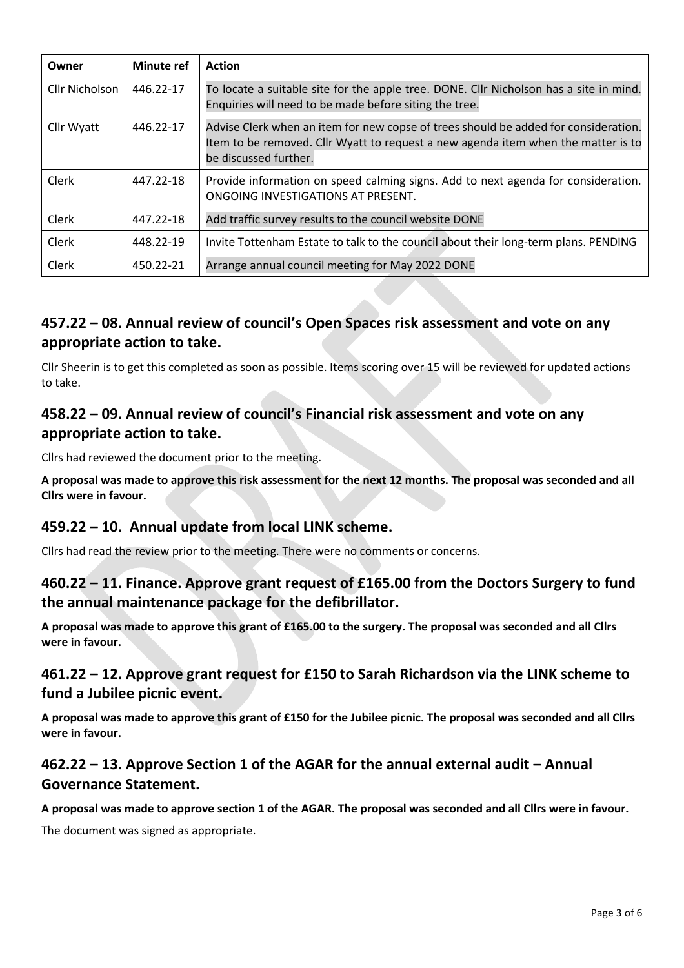| Owner          | <b>Minute ref</b> | <b>Action</b>                                                                                                                                                                                     |  |
|----------------|-------------------|---------------------------------------------------------------------------------------------------------------------------------------------------------------------------------------------------|--|
| Cllr Nicholson | 446.22-17         | To locate a suitable site for the apple tree. DONE. Cllr Nicholson has a site in mind.<br>Enquiries will need to be made before siting the tree.                                                  |  |
| Cllr Wyatt     | 446.22-17         | Advise Clerk when an item for new copse of trees should be added for consideration.<br>Item to be removed. Cllr Wyatt to request a new agenda item when the matter is to<br>be discussed further. |  |
| Clerk          | 447.22-18         | Provide information on speed calming signs. Add to next agenda for consideration.<br>ONGOING INVESTIGATIONS AT PRESENT.                                                                           |  |
| <b>Clerk</b>   | 447.22-18         | Add traffic survey results to the council website DONE                                                                                                                                            |  |
| <b>Clerk</b>   | 448.22-19         | Invite Tottenham Estate to talk to the council about their long-term plans. PENDING                                                                                                               |  |
| Clerk          | 450.22-21         | Arrange annual council meeting for May 2022 DONE                                                                                                                                                  |  |

# **457.22 – 08. Annual review of council's Open Spaces risk assessment and vote on any appropriate action to take.**

Cllr Sheerin is to get this completed as soon as possible. Items scoring over 15 will be reviewed for updated actions to take.

# **458.22 – 09. Annual review of council's Financial risk assessment and vote on any appropriate action to take.**

Cllrs had reviewed the document prior to the meeting.

**A proposal was made to approve this risk assessment for the next 12 months. The proposal was seconded and all Cllrs were in favour.**

# **459.22 – 10. Annual update from local LINK scheme.**

Cllrs had read the review prior to the meeting. There were no comments or concerns.

# **460.22 – 11. Finance. Approve grant request of £165.00 from the Doctors Surgery to fund the annual maintenance package for the defibrillator.**

**A proposal was made to approve this grant of £165.00 to the surgery. The proposal was seconded and all Cllrs were in favour.**

# **461.22 – 12. Approve grant request for £150 to Sarah Richardson via the LINK scheme to fund a Jubilee picnic event.**

**A proposal was made to approve this grant of £150 for the Jubilee picnic. The proposal was seconded and all Cllrs were in favour.**

# **462.22 – 13. Approve Section 1 of the AGAR for the annual external audit – Annual Governance Statement.**

**A proposal was made to approve section 1 of the AGAR. The proposal was seconded and all Cllrs were in favour.**

The document was signed as appropriate.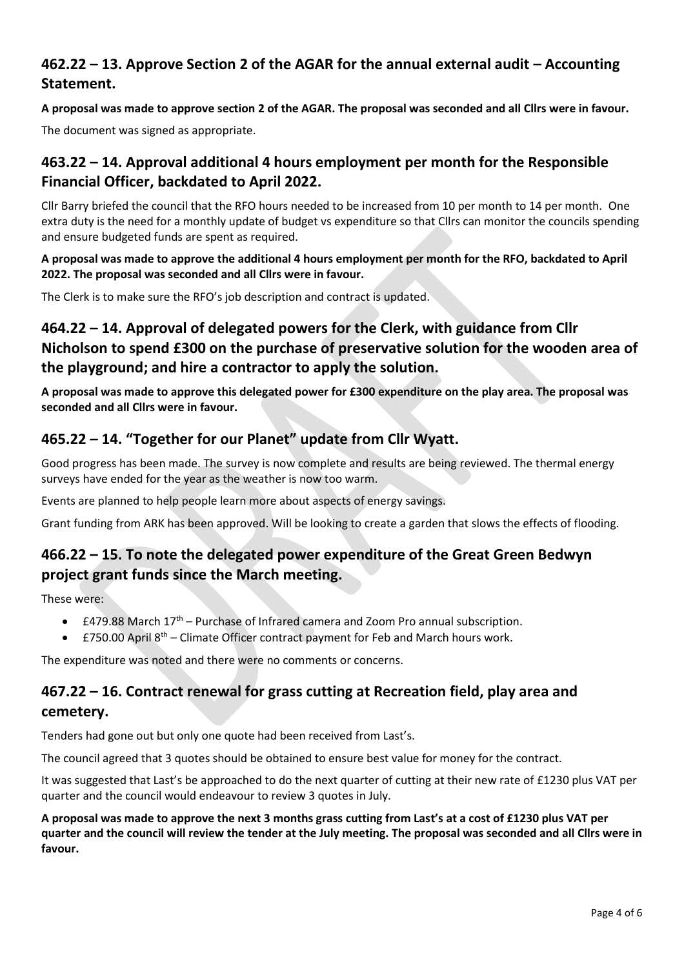# **462.22 – 13. Approve Section 2 of the AGAR for the annual external audit – Accounting Statement.**

**A proposal was made to approve section 2 of the AGAR. The proposal was seconded and all Cllrs were in favour.**

The document was signed as appropriate.

# **463.22 – 14. Approval additional 4 hours employment per month for the Responsible Financial Officer, backdated to April 2022.**

Cllr Barry briefed the council that the RFO hours needed to be increased from 10 per month to 14 per month. One extra duty is the need for a monthly update of budget vs expenditure so that Cllrs can monitor the councils spending and ensure budgeted funds are spent as required.

**A proposal was made to approve the additional 4 hours employment per month for the RFO, backdated to April 2022. The proposal was seconded and all Cllrs were in favour.**

The Clerk is to make sure the RFO's job description and contract is updated.

# **464.22 – 14. Approval of delegated powers for the Clerk, with guidance from Cllr Nicholson to spend £300 on the purchase of preservative solution for the wooden area of the playground; and hire a contractor to apply the solution.**

**A proposal was made to approve this delegated power for £300 expenditure on the play area. The proposal was seconded and all Cllrs were in favour.**

# **465.22 – 14. "Together for our Planet" update from Cllr Wyatt.**

Good progress has been made. The survey is now complete and results are being reviewed. The thermal energy surveys have ended for the year as the weather is now too warm.

Events are planned to help people learn more about aspects of energy savings.

Grant funding from ARK has been approved. Will be looking to create a garden that slows the effects of flooding.

# **466.22 – 15. To note the delegated power expenditure of the Great Green Bedwyn project grant funds since the March meeting.**

These were:

- $\bullet$  £479.88 March 17<sup>th</sup> Purchase of Infrared camera and Zoom Pro annual subscription.
- $\pm$  750.00 April 8<sup>th</sup> Climate Officer contract payment for Feb and March hours work.

The expenditure was noted and there were no comments or concerns.

# **467.22 – 16. Contract renewal for grass cutting at Recreation field, play area and cemetery.**

Tenders had gone out but only one quote had been received from Last's.

The council agreed that 3 quotes should be obtained to ensure best value for money for the contract.

It was suggested that Last's be approached to do the next quarter of cutting at their new rate of £1230 plus VAT per quarter and the council would endeavour to review 3 quotes in July.

**A proposal was made to approve the next 3 months grass cutting from Last's at a cost of £1230 plus VAT per quarter and the council will review the tender at the July meeting. The proposal was seconded and all Cllrs were in favour.**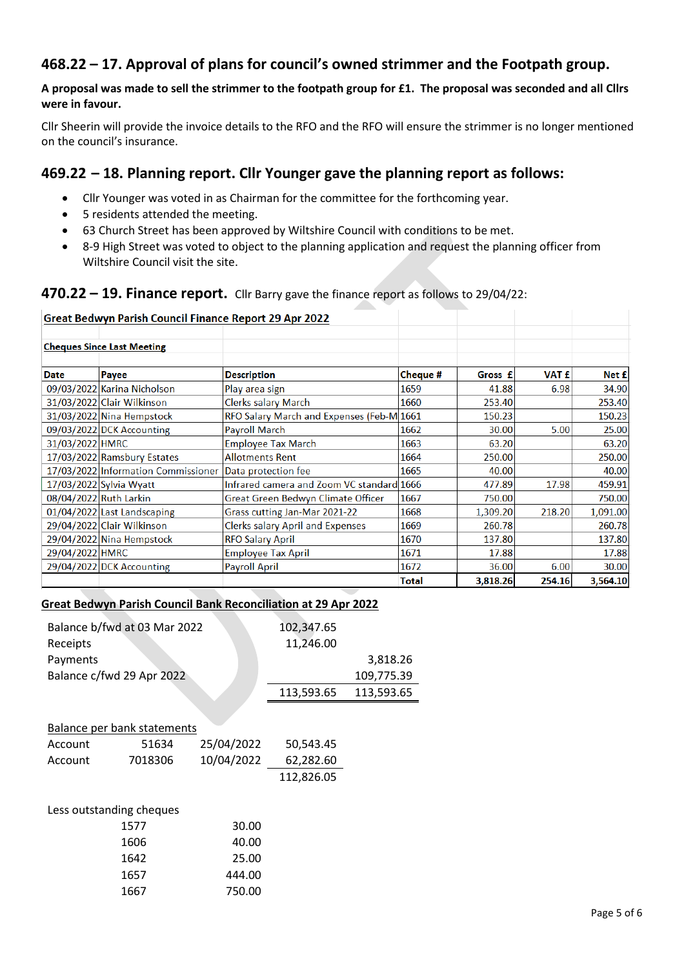# **468.22 – 17. Approval of plans for council's owned strimmer and the Footpath group.**

#### **A proposal was made to sell the strimmer to the footpath group for £1. The proposal was seconded and all Cllrs were in favour.**

Cllr Sheerin will provide the invoice details to the RFO and the RFO will ensure the strimmer is no longer mentioned on the council's insurance.

#### **469.22 – 18. Planning report. Cllr Younger gave the planning report as follows:**

- Cllr Younger was voted in as Chairman for the committee for the forthcoming year.
- 5 residents attended the meeting.
- 63 Church Street has been approved by Wiltshire Council with conditions to be met.
- 8-9 High Street was voted to object to the planning application and request the planning officer from Wiltshire Council visit the site.

#### **470.22 – 19. Finance report.** Cllr Barry gave the finance report as follows to 29/04/22:

#### Great Bedwyn Parish Council Finance Report 29 Apr 2022 **Cheques Since Last Meeting Date** Payee **Description** Cheque # Gross f VAT £ Net £ 09/03/2022 Karina Nicholson Play area sign 1659 41.88 6.98 34.90 31/03/2022 Clair Wilkinson 253.40 253.40 **Clerks salary March** 1660 RFO Salary March and Expenses (Feb-M 1661 31/03/2022 Nina Hempstock 150.23 150.23 09/03/2022 DCK Accounting Payroll March 30.00 5.00 25.00 1662 31/03/2022 HMRC **Employee Tax March** 1663 63.20 63.20 17/03/2022 Ramsbury Estates **Allotments Rent** 1664 250.00 250.00 1665 40.00 40.00 17/03/2022 Information Commissioner Data protection fee Infrared camera and Zoom VC standard 17/03/2022 Sylvia Wyatt 1666 477.89 17.98 459.91 08/04/2022 Ruth Larkin Great Green Bedwyn Climate Officer 1667 750.00 750.00 01/04/2022 Last Landscaping 218.20 Grass cutting Jan-Mar 2021-22 1668 1,309.20 1,091.00 29/04/2022 Clair Wilkinson **Clerks salary April and Expenses** 1669 260.78 260.78 29/04/2022 Nina Hempstock **RFO Salary April** 1670 137.80 137.80 29/04/2022 HMRC **Employee Tax April** 1671 17.88 17.88 1672 29/04/2022 DCK Accounting **Payroll April** 36.00 6.00 30.00 3,818.26 254.16 3,564.10 **Total**

#### **Great Bedwyn Parish Council Bank Reconciliation at 29 Apr 2022**

|          | Balance b/fwd at 03 Mar 2022       | 102,347.65 |            |            |
|----------|------------------------------------|------------|------------|------------|
| Receipts |                                    |            | 11,246.00  |            |
| Payments |                                    |            |            | 3,818.26   |
|          | Balance c/fwd 29 Apr 2022          |            | 109,775.39 |            |
|          |                                    |            | 113,593.65 | 113,593.65 |
|          |                                    |            |            |            |
|          | <b>Balance per bank statements</b> |            |            |            |
| Account  | 51634                              | 25/04/2022 | 50,543.45  |            |
| Account  | 7018306                            | 10/04/2022 | 62,282.60  |            |
|          |                                    |            | 112,826.05 |            |
|          |                                    |            |            |            |
|          | Less outstanding cheques           |            |            |            |
| 1577     |                                    | 30.00      |            |            |
|          | 1606                               |            |            |            |
|          | 1642                               | 25.00      |            |            |
| 1657     |                                    | 444.00     |            |            |
| 1667     |                                    | 750.00     |            |            |
|          |                                    |            |            |            |